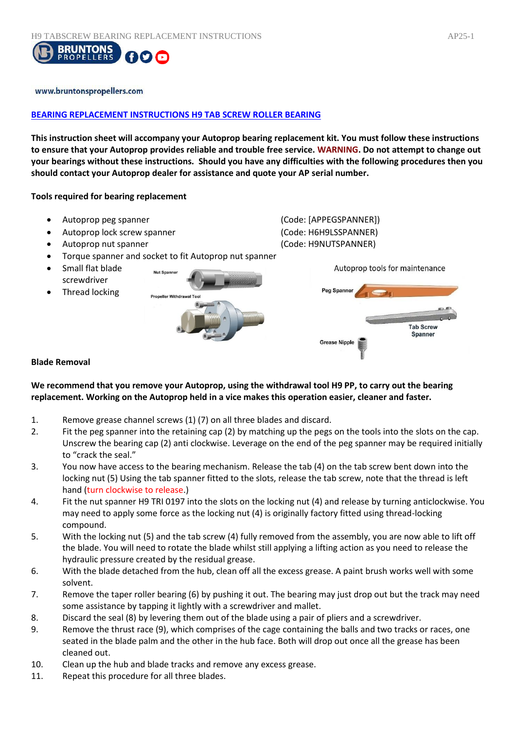

### www.bruntonspropellers.com

## **BEARING REPLACEMENT INSTRUCTIONS H9 TAB SCREW ROLLER BEARING**

**This instruction sheet will accompany your Autoprop bearing replacement kit. You must follow these instructions to ensure that your Autoprop provides reliable and trouble free service. WARNING. Do not attempt to change out your bearings without these instructions. Should you have any difficulties with the following procedures then you should contact your Autoprop dealer for assistance and quote your AP serial number.** 

### **Tools required for bearing replacement**

 Autoprop peg spanner (Code: [APPEGSPANNER]) Autoprop lock screw spanner (Code: H6H9LSSPANNER) Autoprop nut spanner (Code: H9NUTSPANNER) Torque spanner and socket to fit Autoprop nut spanner Small flat blade Autoprop tools for maintenance **Nut Spanne** screwdriver Peg Spanner Thread locking **Propeller Withdra Tab Screw** Spanner **Grease Nipple** 

#### **Blade Removal**

## **We recommend that you remove your Autoprop, using the withdrawal tool H9 PP, to carry out the bearing replacement. Working on the Autoprop held in a vice makes this operation easier, cleaner and faster.**

- 1. Remove grease channel screws (1) (7) on all three blades and discard.
- 2. Fit the peg spanner into the retaining cap (2) by matching up the pegs on the tools into the slots on the cap. Unscrew the bearing cap (2) anti clockwise. Leverage on the end of the peg spanner may be required initially to "crack the seal."
- 3. You now have access to the bearing mechanism. Release the tab (4) on the tab screw bent down into the locking nut (5) Using the tab spanner fitted to the slots, release the tab screw, note that the thread is left hand (turn clockwise to release.)
- 4. Fit the nut spanner H9 TRI 0197 into the slots on the locking nut (4) and release by turning anticlockwise. You may need to apply some force as the locking nut (4) is originally factory fitted using thread-locking compound.
- 5. With the locking nut (5) and the tab screw (4) fully removed from the assembly, you are now able to lift off the blade. You will need to rotate the blade whilst still applying a lifting action as you need to release the hydraulic pressure created by the residual grease.
- 6. With the blade detached from the hub, clean off all the excess grease. A paint brush works well with some solvent.
- 7. Remove the taper roller bearing (6) by pushing it out. The bearing may just drop out but the track may need some assistance by tapping it lightly with a screwdriver and mallet.
- 8. Discard the seal (8) by levering them out of the blade using a pair of pliers and a screwdriver.
- 9. Remove the thrust race (9), which comprises of the cage containing the balls and two tracks or races, one seated in the blade palm and the other in the hub face. Both will drop out once all the grease has been cleaned out.
- 10. Clean up the hub and blade tracks and remove any excess grease.
- 11. Repeat this procedure for all three blades.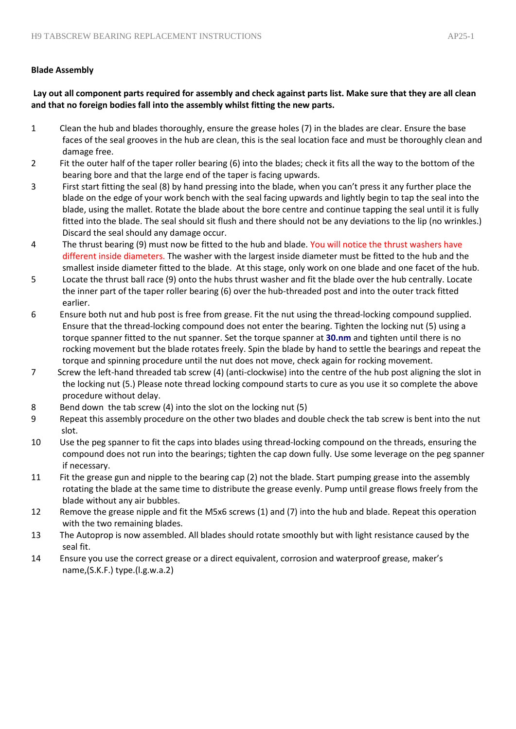# **Blade Assembly**

**Lay out all component parts required for assembly and check against parts list. Make sure that they are all clean and that no foreign bodies fall into the assembly whilst fitting the new parts.** 

- 1 Clean the hub and blades thoroughly, ensure the grease holes (7) in the blades are clear. Ensure the base faces of the seal grooves in the hub are clean, this is the seal location face and must be thoroughly clean and damage free.
- 2 Fit the outer half of the taper roller bearing (6) into the blades; check it fits all the way to the bottom of the bearing bore and that the large end of the taper is facing upwards.
- 3 First start fitting the seal (8) by hand pressing into the blade, when you can't press it any further place the blade on the edge of your work bench with the seal facing upwards and lightly begin to tap the seal into the blade, using the mallet. Rotate the blade about the bore centre and continue tapping the seal until it is fully fitted into the blade. The seal should sit flush and there should not be any deviations to the lip (no wrinkles.) Discard the seal should any damage occur.
- 4 The thrust bearing (9) must now be fitted to the hub and blade. You will notice the thrust washers have different inside diameters. The washer with the largest inside diameter must be fitted to the hub and the smallest inside diameter fitted to the blade. At this stage, only work on one blade and one facet of the hub.
- 5 Locate the thrust ball race (9) onto the hubs thrust washer and fit the blade over the hub centrally. Locate the inner part of the taper roller bearing (6) over the hub-threaded post and into the outer track fitted earlier.
- 6 Ensure both nut and hub post is free from grease. Fit the nut using the thread-locking compound supplied. Ensure that the thread-locking compound does not enter the bearing. Tighten the locking nut (5) using a torque spanner fitted to the nut spanner. Set the torque spanner at **30.nm** and tighten until there is no rocking movement but the blade rotates freely. Spin the blade by hand to settle the bearings and repeat the torque and spinning procedure until the nut does not move, check again for rocking movement.
- 7 Screw the left-hand threaded tab screw (4) (anti-clockwise) into the centre of the hub post aligning the slot in the locking nut (5.) Please note thread locking compound starts to cure as you use it so complete the above procedure without delay.
- 8 Bend down the tab screw (4) into the slot on the locking nut (5)
- 9 Repeat this assembly procedure on the other two blades and double check the tab screw is bent into the nut slot.
- 10 Use the peg spanner to fit the caps into blades using thread-locking compound on the threads, ensuring the compound does not run into the bearings; tighten the cap down fully. Use some leverage on the peg spanner if necessary.
- 11 Fit the grease gun and nipple to the bearing cap (2) not the blade. Start pumping grease into the assembly rotating the blade at the same time to distribute the grease evenly. Pump until grease flows freely from the blade without any air bubbles.
- 12 Remove the grease nipple and fit the M5x6 screws (1) and (7) into the hub and blade. Repeat this operation with the two remaining blades.
- 13 The Autoprop is now assembled. All blades should rotate smoothly but with light resistance caused by the seal fit.
- 14 Ensure you use the correct grease or a direct equivalent, corrosion and waterproof grease, maker's name,(S.K.F.) type.(l.g.w.a.2)